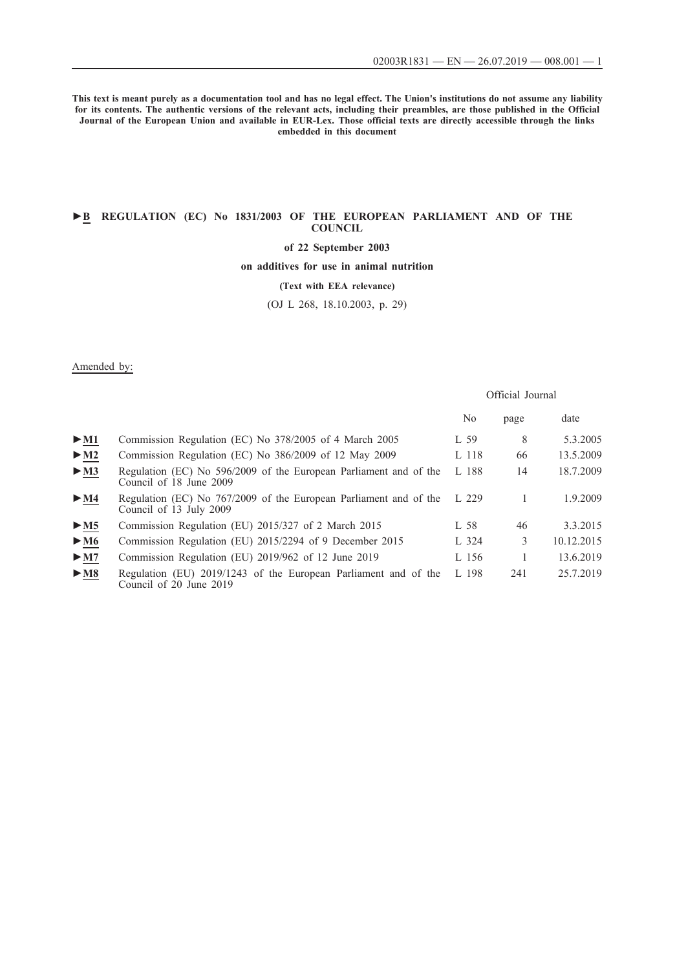Official Journal

**This text is meant purely as a documentation tool and has no legal effect. The Union's institutions do not assume any liability for its contents. The authentic versions of the relevant acts, including their preambles, are those published in the Official Journal of the European Union and available in EUR-Lex. Those official texts are directly accessible through the links embedded in this document**

### **►B [REGULATION \(EC\) No 1831/2003 OF THE EUROPEAN PARLIAMENT AND OF THE](http://data.europa.eu/eli/reg/2003/1831/oj/eng) [COUNCIL](http://data.europa.eu/eli/reg/2003/1831/oj/eng)**

## **[of 22 September 2003](http://data.europa.eu/eli/reg/2003/1831/oj/eng)**

**[on additives for use in animal nutrition](http://data.europa.eu/eli/reg/2003/1831/oj/eng)**

### **[\(Text with EEA relevance\)](http://data.europa.eu/eli/reg/2003/1831/oj/eng)**

[\(OJ L 268, 18.10.2003, p. 29\)](http://data.europa.eu/eli/reg/2003/1831/oj/eng)

### Amended by:

|                                 |                                                                                              | No      | page | date       |
|---------------------------------|----------------------------------------------------------------------------------------------|---------|------|------------|
| $>$ M1                          | Commission Regulation (EC) No 378/2005 of 4 March 2005                                       | L 59    | 8    | 5.3.2005   |
| $\blacktriangleright$ M2        | Commission Regulation (EC) No 386/2009 of 12 May 2009                                        | $L$ 118 | 66   | 13.5.2009  |
| $\blacktriangleright$ <u>M3</u> | Regulation (EC) No 596/2009 of the European Parliament and of the<br>Council of 18 June 2009 | L 188   | 14   | 18.7.2009  |
| $\triangleright$ <u>M4</u>      | Regulation (EC) No 767/2009 of the European Parliament and of the<br>Council of 13 July 2009 | L229    |      | 1.9.2009   |
| > M5                            | Commission Regulation (EU) 2015/327 of 2 March 2015                                          | L 58    | 46   | 3.3.2015   |
| $\blacktriangleright$ M6        | Commission Regulation (EU) 2015/2294 of 9 December 2015                                      | L 324   | 3    | 10.12.2015 |
| $\blacktriangleright$ M7        | Commission Regulation (EU) 2019/962 of 12 June 2019                                          | L 156   |      | 13.6.2019  |
| $\blacktriangleright$ M8        | Regulation (EU) 2019/1243 of the European Parliament and of the<br>Council of 20 June 2019   | L198    | 241  | 25.7.2019  |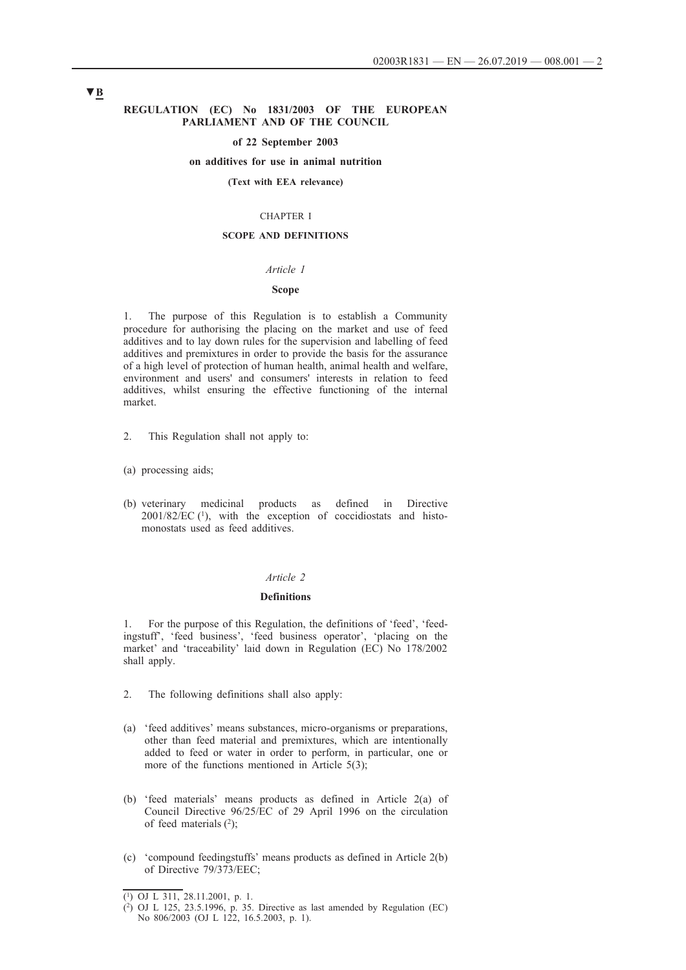#### **REGULATION (EC) No 1831/2003 OF THE EUROPEAN PARLIAMENT AND OF THE COUNCIL**

#### **of 22 September 2003**

### **on additives for use in animal nutrition**

#### **(Text with EEA relevance)**

#### CHAPTER I

### **SCOPE AND DEFINITIONS**

### *Article 1*

#### **Scope**

1. The purpose of this Regulation is to establish a Community procedure for authorising the placing on the market and use of feed additives and to lay down rules for the supervision and labelling of feed additives and premixtures in order to provide the basis for the assurance of a high level of protection of human health, animal health and welfare, environment and users' and consumers' interests in relation to feed additives, whilst ensuring the effective functioning of the internal market.

- 2. This Regulation shall not apply to:
- (a) processing aids;
- (b) veterinary medicinal products as defined in Directive  $2001/82/EC$  (1), with the exception of coccidiostats and histomonostats used as feed additives.

### *Article 2*

#### **Definitions**

1. For the purpose of this Regulation, the definitions of 'feed', 'feedingstuff', 'feed business', 'feed business operator', 'placing on the market' and 'traceability' laid down in Regulation (EC) No 178/2002 shall apply.

- 2. The following definitions shall also apply:
- (a) 'feed additives' means substances, micro-organisms or preparations, other than feed material and premixtures, which are intentionally added to feed or water in order to perform, in particular, one or more of the functions mentioned in Article 5(3);
- (b) 'feed materials' means products as defined in Article 2(a) of Council Directive 96/25/EC of 29 April 1996 on the circulation of feed materials (2);
- (c) 'compound feedingstuffs' means products as defined in Article 2(b) of Directive 79/373/EEC;

<sup>(1)</sup> OJ L 311, 28.11.2001, p. 1.

<sup>(2)</sup> OJ L 125, 23.5.1996, p. 35. Directive as last amended by Regulation (EC) No 806/2003 (OJ L 122, 16.5.2003, p. 1).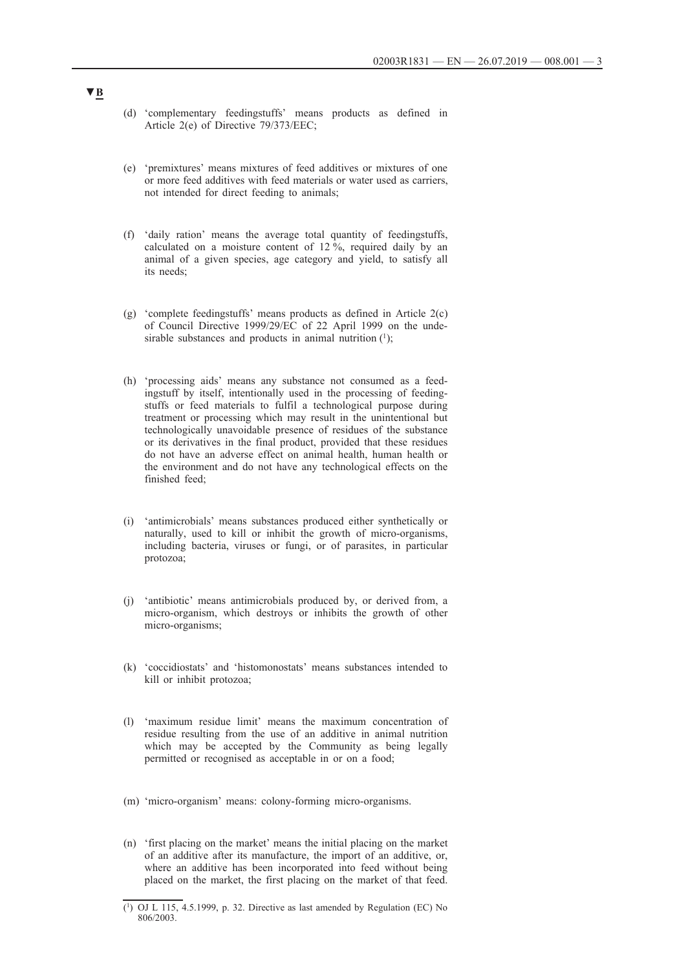- (d) 'complementary feedingstuffs' means products as defined in Article 2(e) of Directive 79/373/EEC;
- (e) 'premixtures' means mixtures of feed additives or mixtures of one or more feed additives with feed materials or water used as carriers, not intended for direct feeding to animals;
- (f) 'daily ration' means the average total quantity of feedingstuffs, calculated on a moisture content of  $12\frac{6}{12}$ , required daily by an animal of a given species, age category and yield, to satisfy all its needs;
- (g) 'complete feedingstuffs' means products as defined in Article 2(c) of Council Directive 1999/29/EC of 22 April 1999 on the undesirable substances and products in animal nutrition  $(1)$ ;
- (h) 'processing aids' means any substance not consumed as a feedingstuff by itself, intentionally used in the processing of feedingstuffs or feed materials to fulfil a technological purpose during treatment or processing which may result in the unintentional but technologically unavoidable presence of residues of the substance or its derivatives in the final product, provided that these residues do not have an adverse effect on animal health, human health or the environment and do not have any technological effects on the finished feed;
- (i) 'antimicrobials' means substances produced either synthetically or naturally, used to kill or inhibit the growth of micro-organisms, including bacteria, viruses or fungi, or of parasites, in particular protozoa;
- (j) 'antibiotic' means antimicrobials produced by, or derived from, a micro-organism, which destroys or inhibits the growth of other micro-organisms;
- (k) 'coccidiostats' and 'histomonostats' means substances intended to kill or inhibit protozoa;
- (l) 'maximum residue limit' means the maximum concentration of residue resulting from the use of an additive in animal nutrition which may be accepted by the Community as being legally permitted or recognised as acceptable in or on a food;
- (m) 'micro-organism' means: colony-forming micro-organisms.
- (n) 'first placing on the market' means the initial placing on the market of an additive after its manufacture, the import of an additive, or, where an additive has been incorporated into feed without being placed on the market, the first placing on the market of that feed.

<sup>(1)</sup> OJ L 115, 4.5.1999, p. 32. Directive as last amended by Regulation (EC) No 806/2003.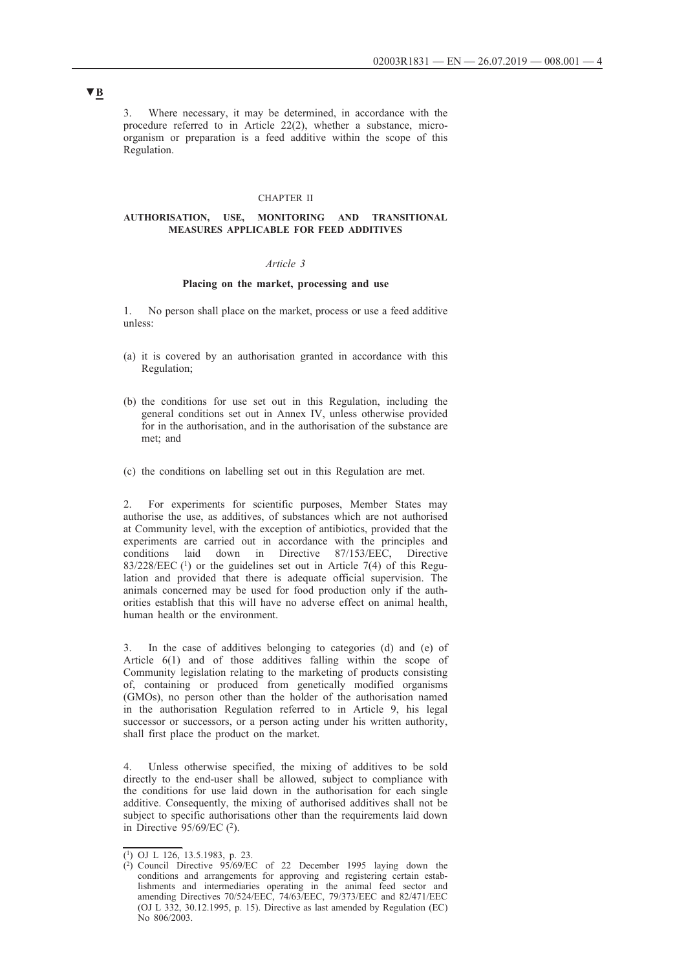3. Where necessary, it may be determined, in accordance with the procedure referred to in Article 22(2), whether a substance, microorganism or preparation is a feed additive within the scope of this Regulation.

#### CHAPTER II

#### **AUTHORISATION, USE, MONITORING AND TRANSITIONAL MEASURES APPLICABLE FOR FEED ADDITIVES**

### *Article 3*

### **Placing on the market, processing and use**

1. No person shall place on the market, process or use a feed additive unless:

- (a) it is covered by an authorisation granted in accordance with this Regulation;
- (b) the conditions for use set out in this Regulation, including the general conditions set out in Annex IV, unless otherwise provided for in the authorisation, and in the authorisation of the substance are met; and
- (c) the conditions on labelling set out in this Regulation are met.

2. For experiments for scientific purposes, Member States may authorise the use, as additives, of substances which are not authorised at Community level, with the exception of antibiotics, provided that the experiments are carried out in accordance with the principles and conditions laid down in Directive 87/153/EEC, Directive  $83/228/EEC$  (<sup>1</sup>) or the guidelines set out in Article 7(4) of this Regulation and provided that there is adequate official supervision. The animals concerned may be used for food production only if the authorities establish that this will have no adverse effect on animal health, human health or the environment.

3. In the case of additives belonging to categories (d) and (e) of Article 6(1) and of those additives falling within the scope of Community legislation relating to the marketing of products consisting of, containing or produced from genetically modified organisms (GMOs), no person other than the holder of the authorisation named in the authorisation Regulation referred to in Article 9, his legal successor or successors, or a person acting under his written authority, shall first place the product on the market.

4. Unless otherwise specified, the mixing of additives to be sold directly to the end-user shall be allowed, subject to compliance with the conditions for use laid down in the authorisation for each single additive. Consequently, the mixing of authorised additives shall not be subject to specific authorisations other than the requirements laid down in Directive 95/69/EC (2).

<sup>(1)</sup> OJ L 126, 13.5.1983, p. 23.

<sup>(2)</sup> Council Directive  $95/69/EC$  of 22 December 1995 laying down the conditions and arrangements for approving and registering certain establishments and intermediaries operating in the animal feed sector and amending Directives 70/524/EEC, 74/63/EEC, 79/373/EEC and 82/471/EEC (OJ L 332, 30.12.1995, p. 15). Directive as last amended by Regulation (EC) No 806/2003.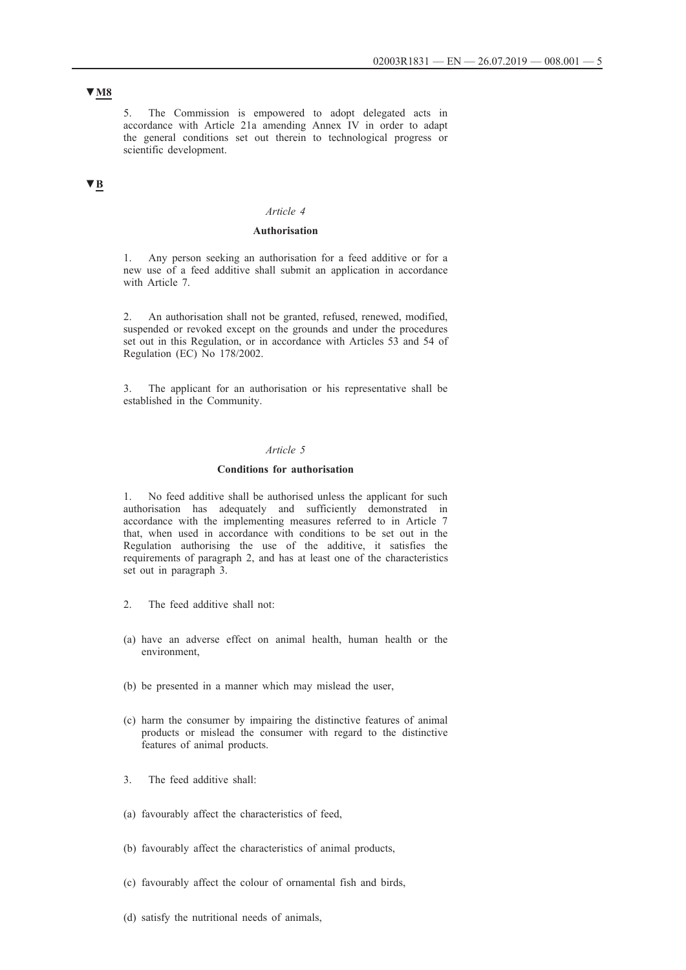## **▼M8**

5. The Commission is empowered to adopt delegated acts in accordance with Article 21a amending Annex IV in order to adapt the general conditions set out therein to technological progress or scientific development.

## **▼B**

### *Article 4*

### **Authorisation**

1. Any person seeking an authorisation for a feed additive or for a new use of a feed additive shall submit an application in accordance with Article 7.

2. An authorisation shall not be granted, refused, renewed, modified, suspended or revoked except on the grounds and under the procedures set out in this Regulation, or in accordance with Articles 53 and 54 of Regulation (EC) No 178/2002.

3. The applicant for an authorisation or his representative shall be established in the Community.

### *Article 5*

#### **Conditions for authorisation**

1. No feed additive shall be authorised unless the applicant for such authorisation has adequately and sufficiently demonstrated in accordance with the implementing measures referred to in Article 7 that, when used in accordance with conditions to be set out in the Regulation authorising the use of the additive, it satisfies the requirements of paragraph 2, and has at least one of the characteristics set out in paragraph 3.

- 2. The feed additive shall not:
- (a) have an adverse effect on animal health, human health or the environment,
- (b) be presented in a manner which may mislead the user,
- (c) harm the consumer by impairing the distinctive features of animal products or mislead the consumer with regard to the distinctive features of animal products.
- 3. The feed additive shall:
- (a) favourably affect the characteristics of feed,
- (b) favourably affect the characteristics of animal products,
- (c) favourably affect the colour of ornamental fish and birds,
- (d) satisfy the nutritional needs of animals,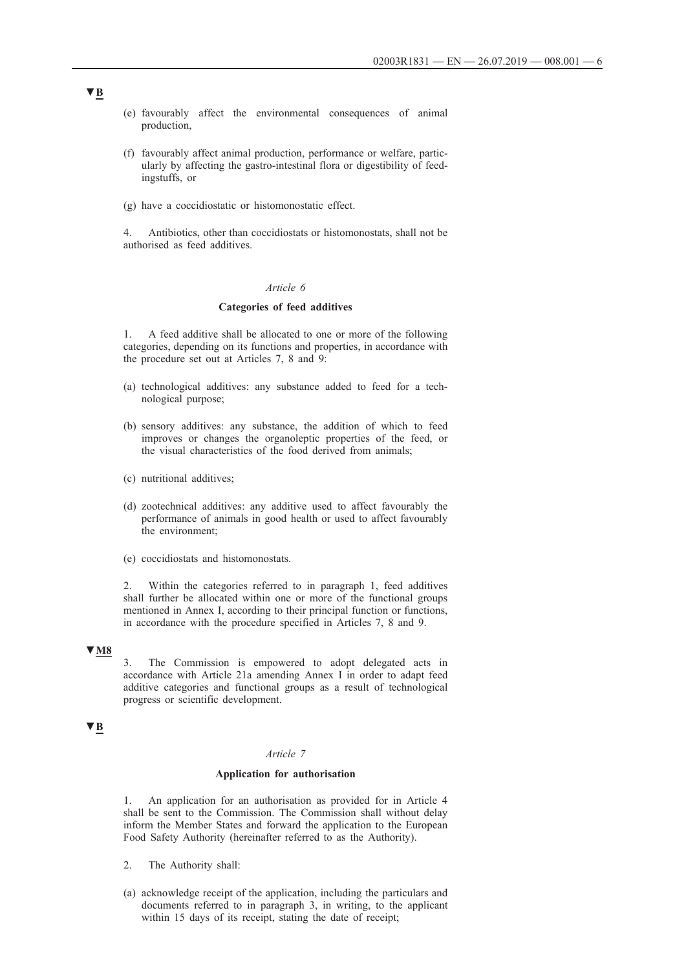- (e) favourably affect the environmental consequences of animal production,
- (f) favourably affect animal production, performance or welfare, particularly by affecting the gastro-intestinal flora or digestibility of feedingstuffs, or
- (g) have a coccidiostatic or histomonostatic effect.

4. Antibiotics, other than coccidiostats or histomonostats, shall not be authorised as feed additives.

### *Article 6*

### **Categories of feed additives**

1. A feed additive shall be allocated to one or more of the following categories, depending on its functions and properties, in accordance with the procedure set out at Articles 7, 8 and 9:

- (a) technological additives: any substance added to feed for a technological purpose;
- (b) sensory additives: any substance, the addition of which to feed improves or changes the organoleptic properties of the feed, or the visual characteristics of the food derived from animals;
- (c) nutritional additives;
- (d) zootechnical additives: any additive used to affect favourably the performance of animals in good health or used to affect favourably the environment;
- (e) coccidiostats and histomonostats.

2. Within the categories referred to in paragraph 1, feed additives shall further be allocated within one or more of the functional groups mentioned in Annex I, according to their principal function or functions, in accordance with the procedure specified in Articles 7, 8 and 9.

# **▼M8**

3. The Commission is empowered to adopt delegated acts in accordance with Article 21a amending Annex I in order to adapt feed additive categories and functional groups as a result of technological progress or scientific development.

### **▼B**

## *Article 7*

#### **Application for authorisation**

An application for an authorisation as provided for in Article 4 shall be sent to the Commission. The Commission shall without delay inform the Member States and forward the application to the European Food Safety Authority (hereinafter referred to as the Authority).

- 2. The Authority shall:
- (a) acknowledge receipt of the application, including the particulars and documents referred to in paragraph 3, in writing, to the applicant within 15 days of its receipt, stating the date of receipt;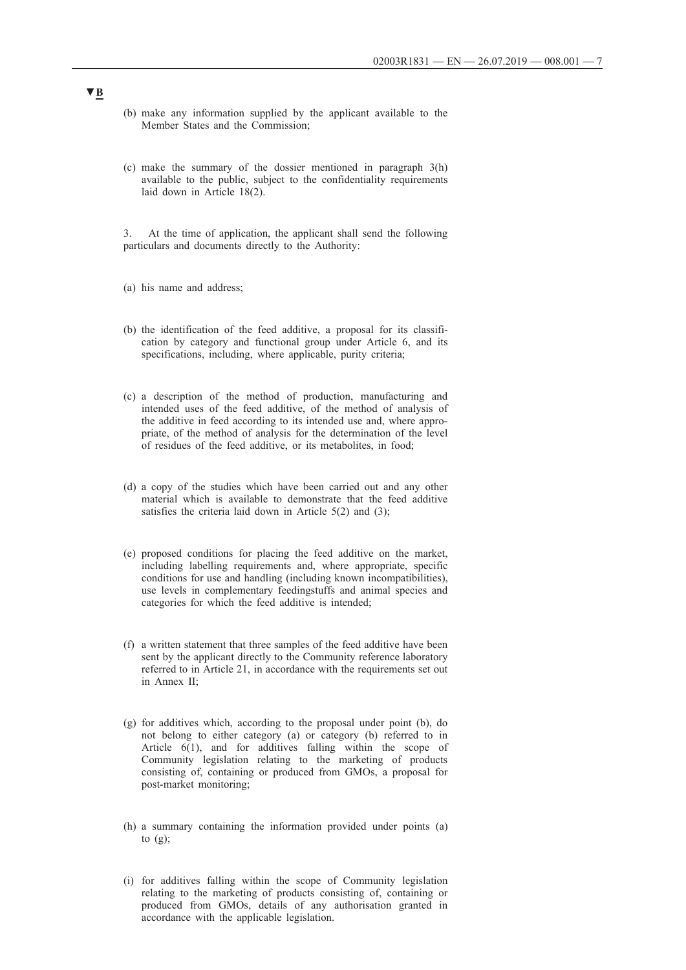- (b) make any information supplied by the applicant available to the Member States and the Commission;
- (c) make the summary of the dossier mentioned in paragraph 3(h) available to the public, subject to the confidentiality requirements laid down in Article 18(2).

3. At the time of application, the applicant shall send the following particulars and documents directly to the Authority:

- (a) his name and address;
- (b) the identification of the feed additive, a proposal for its classification by category and functional group under Article 6, and its specifications, including, where applicable, purity criteria;
- (c) a description of the method of production, manufacturing and intended uses of the feed additive, of the method of analysis of the additive in feed according to its intended use and, where appropriate, of the method of analysis for the determination of the level of residues of the feed additive, or its metabolites, in food;
- (d) a copy of the studies which have been carried out and any other material which is available to demonstrate that the feed additive satisfies the criteria laid down in Article 5(2) and (3);
- (e) proposed conditions for placing the feed additive on the market, including labelling requirements and, where appropriate, specific conditions for use and handling (including known incompatibilities), use levels in complementary feedingstuffs and animal species and categories for which the feed additive is intended;
- (f) a written statement that three samples of the feed additive have been sent by the applicant directly to the Community reference laboratory referred to in Article 21, in accordance with the requirements set out in Annex II;
- (g) for additives which, according to the proposal under point (b), do not belong to either category (a) or category (b) referred to in Article 6(1), and for additives falling within the scope of Community legislation relating to the marketing of products consisting of, containing or produced from GMOs, a proposal for post-market monitoring;
- (h) a summary containing the information provided under points (a) to  $(g)$ ;
- (i) for additives falling within the scope of Community legislation relating to the marketing of products consisting of, containing or produced from GMOs, details of any authorisation granted in accordance with the applicable legislation.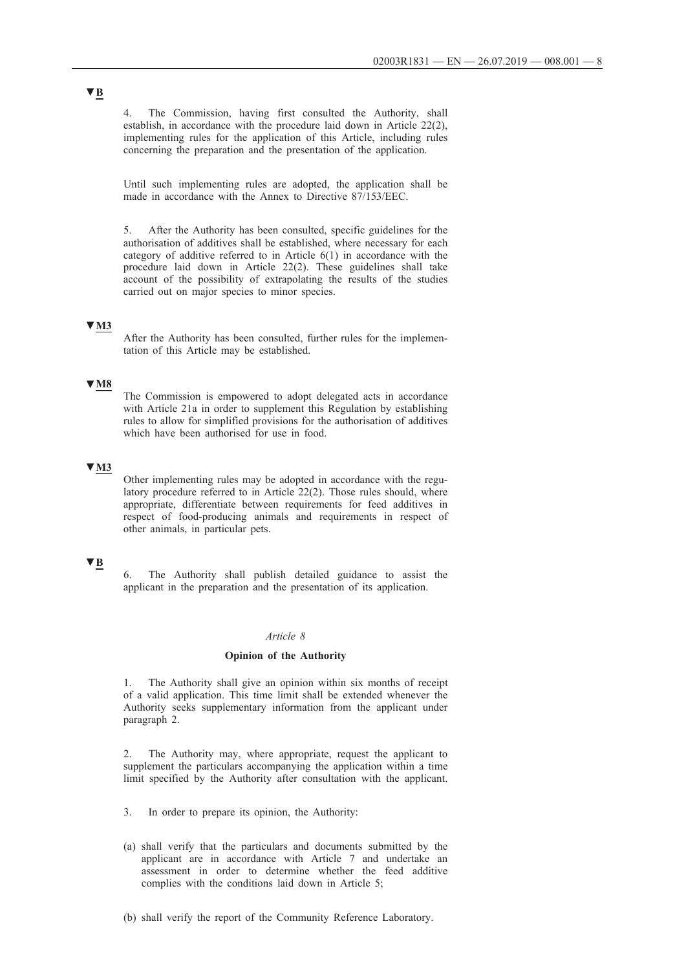4. The Commission, having first consulted the Authority, shall establish, in accordance with the procedure laid down in Article 22(2), implementing rules for the application of this Article, including rules concerning the preparation and the presentation of the application.

Until such implementing rules are adopted, the application shall be made in accordance with the Annex to Directive 87/153/EEC.

5. After the Authority has been consulted, specific guidelines for the authorisation of additives shall be established, where necessary for each category of additive referred to in Article 6(1) in accordance with the procedure laid down in Article 22(2). These guidelines shall take account of the possibility of extrapolating the results of the studies carried out on major species to minor species.

### **▼M3**

After the Authority has been consulted, further rules for the implementation of this Article may be established.

### **▼M8**

The Commission is empowered to adopt delegated acts in accordance with Article 21a in order to supplement this Regulation by establishing rules to allow for simplified provisions for the authorisation of additives which have been authorised for use in food.

### **▼M3**

Other implementing rules may be adopted in accordance with the regulatory procedure referred to in Article 22(2). Those rules should, where appropriate, differentiate between requirements for feed additives in respect of food-producing animals and requirements in respect of other animals, in particular pets.

# **▼B**

The Authority shall publish detailed guidance to assist the applicant in the preparation and the presentation of its application.

### *Article 8*

### **Opinion of the Authority**

1. The Authority shall give an opinion within six months of receipt of a valid application. This time limit shall be extended whenever the Authority seeks supplementary information from the applicant under paragraph 2.

2. The Authority may, where appropriate, request the applicant to supplement the particulars accompanying the application within a time limit specified by the Authority after consultation with the applicant.

- 3. In order to prepare its opinion, the Authority:
- (a) shall verify that the particulars and documents submitted by the applicant are in accordance with Article 7 and undertake an assessment in order to determine whether the feed additive complies with the conditions laid down in Article 5;
- (b) shall verify the report of the Community Reference Laboratory.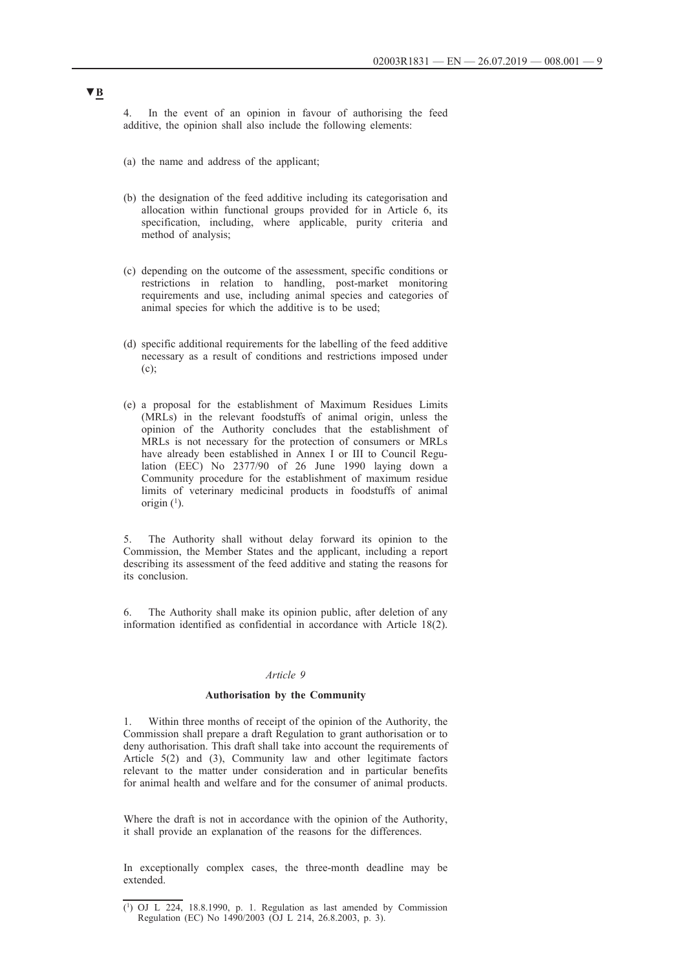4. In the event of an opinion in favour of authorising the feed additive, the opinion shall also include the following elements:

- (a) the name and address of the applicant;
- (b) the designation of the feed additive including its categorisation and allocation within functional groups provided for in Article 6, its specification, including, where applicable, purity criteria and method of analysis;
- (c) depending on the outcome of the assessment, specific conditions or restrictions in relation to handling, post-market monitoring requirements and use, including animal species and categories of animal species for which the additive is to be used;
- (d) specific additional requirements for the labelling of the feed additive necessary as a result of conditions and restrictions imposed under (c);
- (e) a proposal for the establishment of Maximum Residues Limits (MRLs) in the relevant foodstuffs of animal origin, unless the opinion of the Authority concludes that the establishment of MRLs is not necessary for the protection of consumers or MRLs have already been established in Annex I or III to Council Regulation (EEC) No 2377/90 of 26 June 1990 laying down a Community procedure for the establishment of maximum residue limits of veterinary medicinal products in foodstuffs of animal origin  $(1)$ .

5. The Authority shall without delay forward its opinion to the Commission, the Member States and the applicant, including a report describing its assessment of the feed additive and stating the reasons for its conclusion.

6. The Authority shall make its opinion public, after deletion of any information identified as confidential in accordance with Article 18(2).

#### *Article 9*

#### **Authorisation by the Community**

Within three months of receipt of the opinion of the Authority, the Commission shall prepare a draft Regulation to grant authorisation or to deny authorisation. This draft shall take into account the requirements of Article 5(2) and (3), Community law and other legitimate factors relevant to the matter under consideration and in particular benefits for animal health and welfare and for the consumer of animal products.

Where the draft is not in accordance with the opinion of the Authority, it shall provide an explanation of the reasons for the differences.

In exceptionally complex cases, the three-month deadline may be extended.

 $(1)$  OJ L 224, 18.8.1990, p. 1. Regulation as last amended by Commission Regulation (EC) No 1490/2003 (OJ L 214, 26.8.2003, p. 3).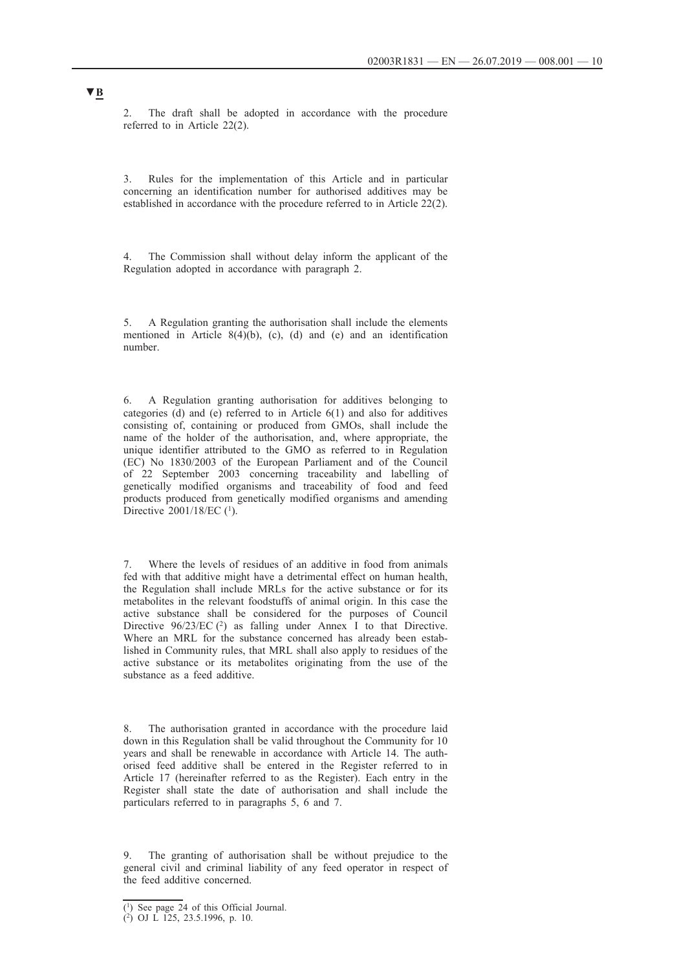2. The draft shall be adopted in accordance with the procedure referred to in Article 22(2).

3. Rules for the implementation of this Article and in particular concerning an identification number for authorised additives may be established in accordance with the procedure referred to in Article 22(2).

4. The Commission shall without delay inform the applicant of the Regulation adopted in accordance with paragraph 2.

5. A Regulation granting the authorisation shall include the elements mentioned in Article 8(4)(b), (c), (d) and (e) and an identification number.

6. A Regulation granting authorisation for additives belonging to categories (d) and (e) referred to in Article 6(1) and also for additives consisting of, containing or produced from GMOs, shall include the name of the holder of the authorisation, and, where appropriate, the unique identifier attributed to the GMO as referred to in Regulation (EC) No 1830/2003 of the European Parliament and of the Council of 22 September 2003 concerning traceability and labelling of genetically modified organisms and traceability of food and feed products produced from genetically modified organisms and amending Directive 2001/18/EC (<sup>1</sup>).

7. Where the levels of residues of an additive in food from animals fed with that additive might have a detrimental effect on human health, the Regulation shall include MRLs for the active substance or for its metabolites in the relevant foodstuffs of animal origin. In this case the active substance shall be considered for the purposes of Council Directive 96/23/EC (<sup>2</sup>) as falling under Annex I to that Directive. Where an MRL for the substance concerned has already been established in Community rules, that MRL shall also apply to residues of the active substance or its metabolites originating from the use of the substance as a feed additive.

8. The authorisation granted in accordance with the procedure laid down in this Regulation shall be valid throughout the Community for 10 years and shall be renewable in accordance with Article 14. The authorised feed additive shall be entered in the Register referred to in Article 17 (hereinafter referred to as the Register). Each entry in the Register shall state the date of authorisation and shall include the particulars referred to in paragraphs 5, 6 and 7.

9. The granting of authorisation shall be without prejudice to the general civil and criminal liability of any feed operator in respect of the feed additive concerned.

<sup>(1)</sup> See page 24 of this Official Journal.

<sup>(2)</sup> OJ L 125, 23.5.1996, p. 10.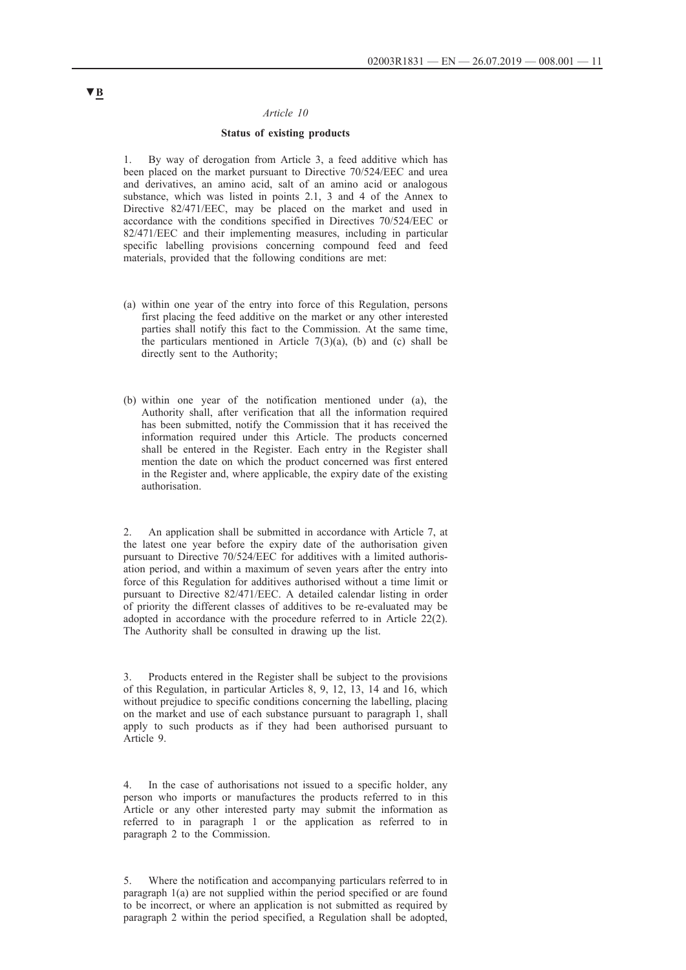#### *Article 10*

#### **Status of existing products**

1. By way of derogation from Article 3, a feed additive which has been placed on the market pursuant to Directive 70/524/EEC and urea and derivatives, an amino acid, salt of an amino acid or analogous substance, which was listed in points 2.1, 3 and 4 of the Annex to Directive 82/471/EEC, may be placed on the market and used in accordance with the conditions specified in Directives 70/524/EEC or 82/471/EEC and their implementing measures, including in particular specific labelling provisions concerning compound feed and feed materials, provided that the following conditions are met:

- (a) within one year of the entry into force of this Regulation, persons first placing the feed additive on the market or any other interested parties shall notify this fact to the Commission. At the same time, the particulars mentioned in Article  $7(3)(a)$ , (b) and (c) shall be directly sent to the Authority;
- (b) within one year of the notification mentioned under (a), the Authority shall, after verification that all the information required has been submitted, notify the Commission that it has received the information required under this Article. The products concerned shall be entered in the Register. Each entry in the Register shall mention the date on which the product concerned was first entered in the Register and, where applicable, the expiry date of the existing authorisation.

2. An application shall be submitted in accordance with Article 7, at the latest one year before the expiry date of the authorisation given pursuant to Directive 70/524/EEC for additives with a limited authorisation period, and within a maximum of seven years after the entry into force of this Regulation for additives authorised without a time limit or pursuant to Directive 82/471/EEC. A detailed calendar listing in order of priority the different classes of additives to be re-evaluated may be adopted in accordance with the procedure referred to in Article 22(2). The Authority shall be consulted in drawing up the list.

3. Products entered in the Register shall be subject to the provisions of this Regulation, in particular Articles 8, 9, 12, 13, 14 and 16, which without prejudice to specific conditions concerning the labelling, placing on the market and use of each substance pursuant to paragraph 1, shall apply to such products as if they had been authorised pursuant to Article 9.

4. In the case of authorisations not issued to a specific holder, any person who imports or manufactures the products referred to in this Article or any other interested party may submit the information as referred to in paragraph 1 or the application as referred to in paragraph 2 to the Commission.

5. Where the notification and accompanying particulars referred to in paragraph 1(a) are not supplied within the period specified or are found to be incorrect, or where an application is not submitted as required by paragraph 2 within the period specified, a Regulation shall be adopted,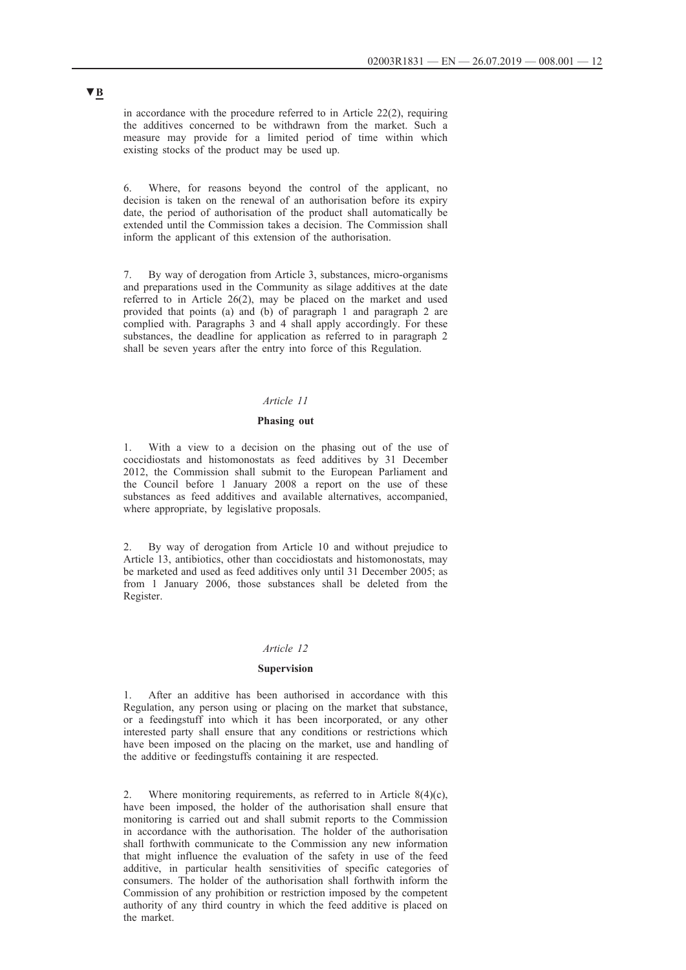in accordance with the procedure referred to in Article 22(2), requiring the additives concerned to be withdrawn from the market. Such a measure may provide for a limited period of time within which existing stocks of the product may be used up.

6. Where, for reasons beyond the control of the applicant, no decision is taken on the renewal of an authorisation before its expiry date, the period of authorisation of the product shall automatically be extended until the Commission takes a decision. The Commission shall inform the applicant of this extension of the authorisation.

7. By way of derogation from Article 3, substances, micro-organisms and preparations used in the Community as silage additives at the date referred to in Article 26(2), may be placed on the market and used provided that points (a) and (b) of paragraph 1 and paragraph 2 are complied with. Paragraphs 3 and 4 shall apply accordingly. For these substances, the deadline for application as referred to in paragraph 2 shall be seven years after the entry into force of this Regulation.

### *Article 11*

#### **Phasing out**

1. With a view to a decision on the phasing out of the use of coccidiostats and histomonostats as feed additives by 31 December 2012, the Commission shall submit to the European Parliament and the Council before 1 January 2008 a report on the use of these substances as feed additives and available alternatives, accompanied, where appropriate, by legislative proposals.

2. By way of derogation from Article 10 and without prejudice to Article 13, antibiotics, other than coccidiostats and histomonostats, may be marketed and used as feed additives only until 31 December 2005; as from 1 January 2006, those substances shall be deleted from the Register.

### *Article 12*

#### **Supervision**

1. After an additive has been authorised in accordance with this Regulation, any person using or placing on the market that substance, or a feedingstuff into which it has been incorporated, or any other interested party shall ensure that any conditions or restrictions which have been imposed on the placing on the market, use and handling of the additive or feedingstuffs containing it are respected.

2. Where monitoring requirements, as referred to in Article 8(4)(c), have been imposed, the holder of the authorisation shall ensure that monitoring is carried out and shall submit reports to the Commission in accordance with the authorisation. The holder of the authorisation shall forthwith communicate to the Commission any new information that might influence the evaluation of the safety in use of the feed additive, in particular health sensitivities of specific categories of consumers. The holder of the authorisation shall forthwith inform the Commission of any prohibition or restriction imposed by the competent authority of any third country in which the feed additive is placed on the market.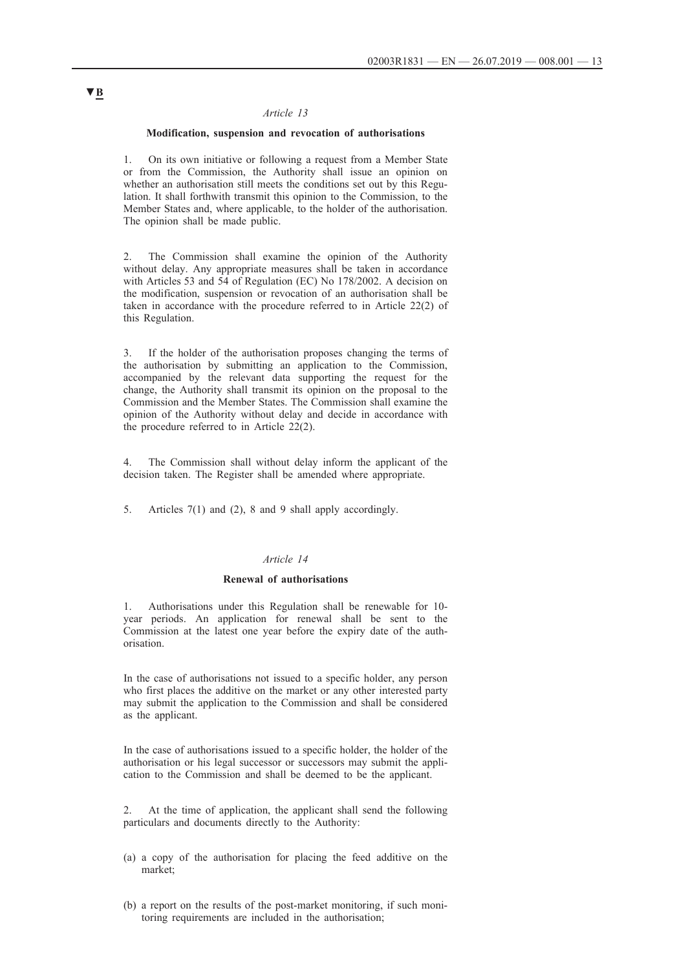#### *Article 13*

#### **Modification, suspension and revocation of authorisations**

1. On its own initiative or following a request from a Member State or from the Commission, the Authority shall issue an opinion on whether an authorisation still meets the conditions set out by this Regulation. It shall forthwith transmit this opinion to the Commission, to the Member States and, where applicable, to the holder of the authorisation. The opinion shall be made public.

2. The Commission shall examine the opinion of the Authority without delay. Any appropriate measures shall be taken in accordance with Articles 53 and 54 of Regulation (EC) No 178/2002. A decision on the modification, suspension or revocation of an authorisation shall be taken in accordance with the procedure referred to in Article 22(2) of this Regulation.

3. If the holder of the authorisation proposes changing the terms of the authorisation by submitting an application to the Commission, accompanied by the relevant data supporting the request for the change, the Authority shall transmit its opinion on the proposal to the Commission and the Member States. The Commission shall examine the opinion of the Authority without delay and decide in accordance with the procedure referred to in Article 22(2).

4. The Commission shall without delay inform the applicant of the decision taken. The Register shall be amended where appropriate.

5. Articles 7(1) and (2), 8 and 9 shall apply accordingly.

### *Article 14*

### **Renewal of authorisations**

1. Authorisations under this Regulation shall be renewable for 10 year periods. An application for renewal shall be sent to the Commission at the latest one year before the expiry date of the authorisation.

In the case of authorisations not issued to a specific holder, any person who first places the additive on the market or any other interested party may submit the application to the Commission and shall be considered as the applicant.

In the case of authorisations issued to a specific holder, the holder of the authorisation or his legal successor or successors may submit the application to the Commission and shall be deemed to be the applicant.

2. At the time of application, the applicant shall send the following particulars and documents directly to the Authority:

- (a) a copy of the authorisation for placing the feed additive on the market;
- (b) a report on the results of the post-market monitoring, if such monitoring requirements are included in the authorisation;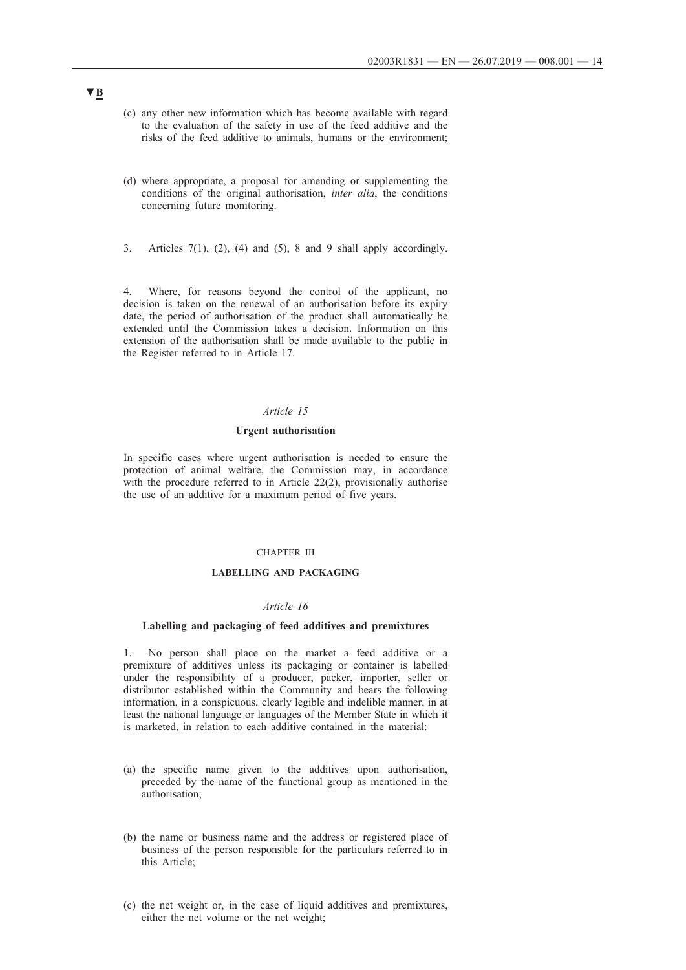- (c) any other new information which has become available with regard to the evaluation of the safety in use of the feed additive and the risks of the feed additive to animals, humans or the environment;
- (d) where appropriate, a proposal for amending or supplementing the conditions of the original authorisation, *inter alia*, the conditions concerning future monitoring.
- 3. Articles  $7(1)$ ,  $(2)$ ,  $(4)$  and  $(5)$ , 8 and 9 shall apply accordingly.

4. Where, for reasons beyond the control of the applicant, no decision is taken on the renewal of an authorisation before its expiry date, the period of authorisation of the product shall automatically be extended until the Commission takes a decision. Information on this extension of the authorisation shall be made available to the public in the Register referred to in Article 17.

## *Article 15*

### **Urgent authorisation**

In specific cases where urgent authorisation is needed to ensure the protection of animal welfare, the Commission may, in accordance with the procedure referred to in Article 22(2), provisionally authorise the use of an additive for a maximum period of five years.

### CHAPTER III

### **LABELLING AND PACKAGING**

### *Article 16*

### **Labelling and packaging of feed additives and premixtures**

1. No person shall place on the market a feed additive or a premixture of additives unless its packaging or container is labelled under the responsibility of a producer, packer, importer, seller or distributor established within the Community and bears the following information, in a conspicuous, clearly legible and indelible manner, in at least the national language or languages of the Member State in which it is marketed, in relation to each additive contained in the material:

- (a) the specific name given to the additives upon authorisation, preceded by the name of the functional group as mentioned in the authorisation;
- (b) the name or business name and the address or registered place of business of the person responsible for the particulars referred to in this Article;
- (c) the net weight or, in the case of liquid additives and premixtures, either the net volume or the net weight;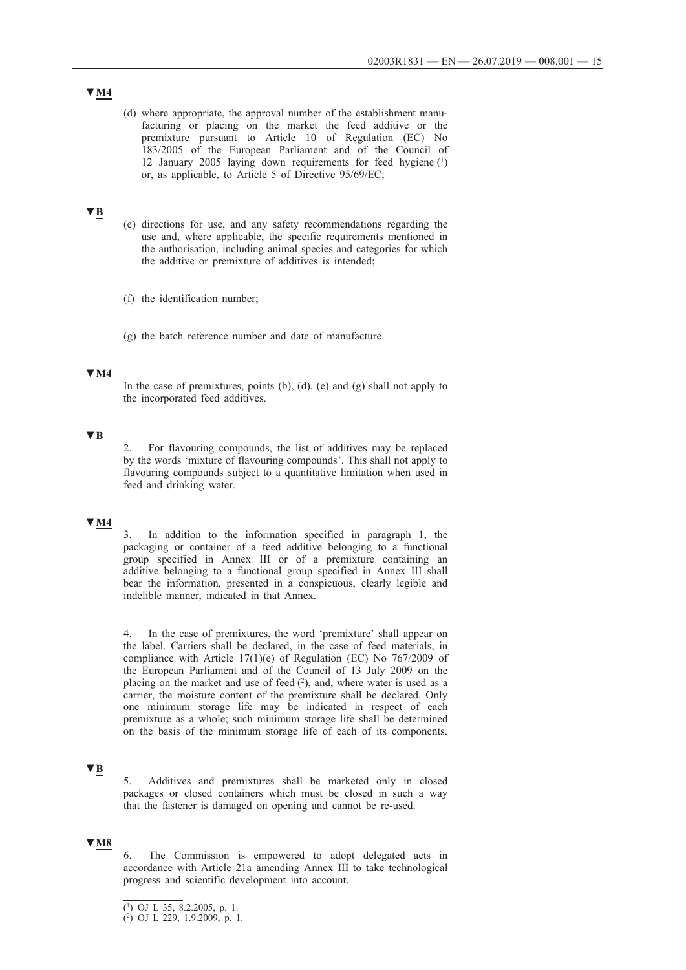(d) where appropriate, the approval number of the establishment manufacturing or placing on the market the feed additive or the premixture pursuant to Article 10 of Regulation (EC) No 183/2005 of the European Parliament and of the Council of 12 January 2005 laying down requirements for feed hygiene (1) or, as applicable, to Article 5 of Directive 95/69/EC;

### **▼B**

- (e) directions for use, and any safety recommendations regarding the use and, where applicable, the specific requirements mentioned in the authorisation, including animal species and categories for which the additive or premixture of additives is intended;
- (f) the identification number;
- (g) the batch reference number and date of manufacture.

## **▼M4**

In the case of premixtures, points  $(b)$ ,  $(d)$ ,  $(e)$  and  $(g)$  shall not apply to the incorporated feed additives.

### **▼B**

2. For flavouring compounds, the list of additives may be replaced by the words 'mixture of flavouring compounds'. This shall not apply to flavouring compounds subject to a quantitative limitation when used in feed and drinking water.

## **▼M4**

3. In addition to the information specified in paragraph 1, the packaging or container of a feed additive belonging to a functional group specified in Annex III or of a premixture containing an additive belonging to a functional group specified in Annex III shall bear the information, presented in a conspicuous, clearly legible and indelible manner, indicated in that Annex.

4. In the case of premixtures, the word 'premixture' shall appear on the label. Carriers shall be declared, in the case of feed materials, in compliance with Article 17(1)(e) of Regulation (EC) No 767/2009 of the European Parliament and of the Council of 13 July 2009 on the placing on the market and use of feed  $(2)$ , and, where water is used as a carrier, the moisture content of the premixture shall be declared. Only one minimum storage life may be indicated in respect of each premixture as a whole; such minimum storage life shall be determined on the basis of the minimum storage life of each of its components.

## **▼B**

5. Additives and premixtures shall be marketed only in closed packages or closed containers which must be closed in such a way that the fastener is damaged on opening and cannot be re-used.

## **▼M8**

6. The Commission is empowered to adopt delegated acts in accordance with Article 21a amending Annex III to take technological progress and scientific development into account.

## **▼M4**

<sup>(1)</sup> OJ L 35, 8.2.2005, p. 1.

<sup>(2)</sup> OJ L 229, 1.9.2009, p. 1.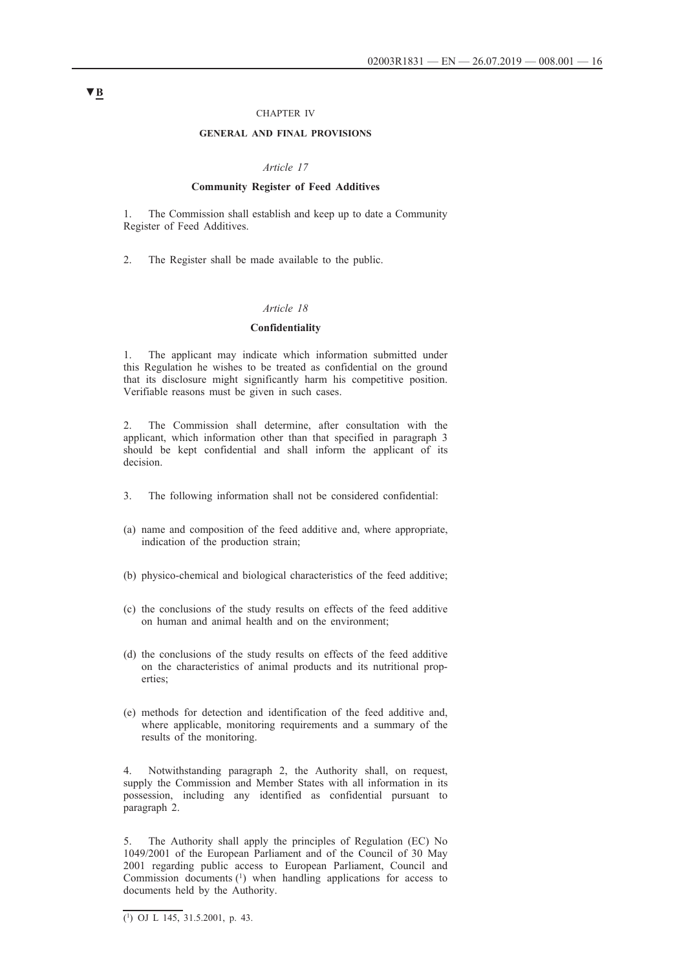#### CHAPTER IV

### **GENERAL AND FINAL PROVISIONS**

#### *Article 17*

#### **Community Register of Feed Additives**

1. The Commission shall establish and keep up to date a Community Register of Feed Additives.

2. The Register shall be made available to the public.

### *Article 18*

#### **Confidentiality**

1. The applicant may indicate which information submitted under this Regulation he wishes to be treated as confidential on the ground that its disclosure might significantly harm his competitive position. Verifiable reasons must be given in such cases.

2. The Commission shall determine, after consultation with the applicant, which information other than that specified in paragraph 3 should be kept confidential and shall inform the applicant of its decision.

- 3. The following information shall not be considered confidential:
- (a) name and composition of the feed additive and, where appropriate, indication of the production strain;
- (b) physico-chemical and biological characteristics of the feed additive;
- (c) the conclusions of the study results on effects of the feed additive on human and animal health and on the environment;
- (d) the conclusions of the study results on effects of the feed additive on the characteristics of animal products and its nutritional properties;
- (e) methods for detection and identification of the feed additive and, where applicable, monitoring requirements and a summary of the results of the monitoring.

4. Notwithstanding paragraph 2, the Authority shall, on request, supply the Commission and Member States with all information in its possession, including any identified as confidential pursuant to paragraph 2.

5. The Authority shall apply the principles of Regulation (EC) No 1049/2001 of the European Parliament and of the Council of 30 May 2001 regarding public access to European Parliament, Council and Commission documents (1) when handling applications for access to documents held by the Authority.

 $\overline{(^1)}$  OJ L 145, 31.5.2001, p. 43.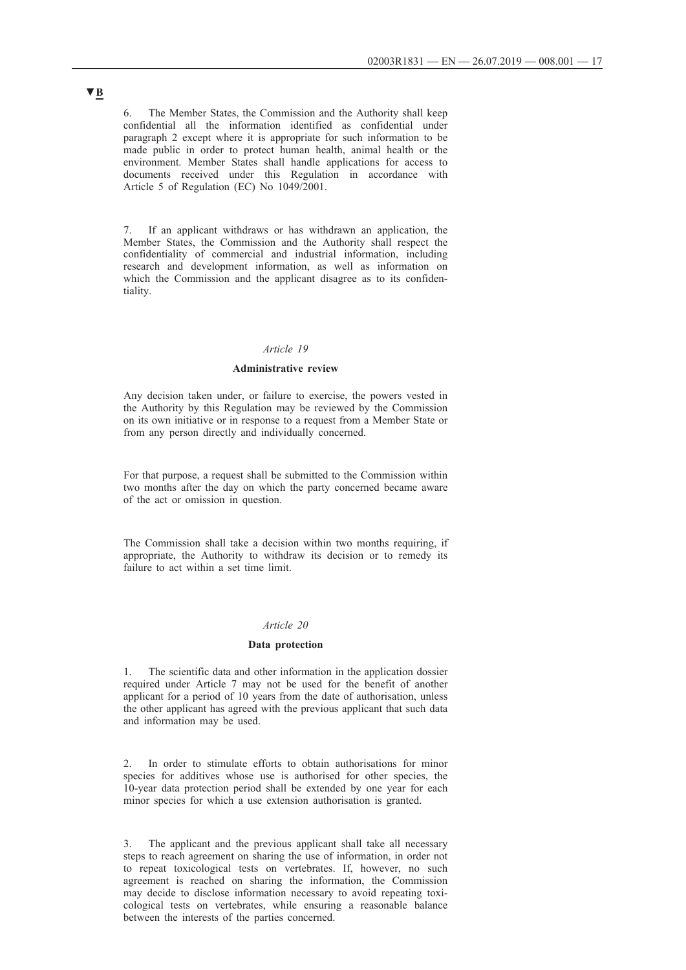6. The Member States, the Commission and the Authority shall keep confidential all the information identified as confidential under paragraph 2 except where it is appropriate for such information to be made public in order to protect human health, animal health or the environment. Member States shall handle applications for access to documents received under this Regulation in accordance with Article 5 of Regulation (EC) No 1049/2001.

7. If an applicant withdraws or has withdrawn an application, the Member States, the Commission and the Authority shall respect the confidentiality of commercial and industrial information, including research and development information, as well as information on which the Commission and the applicant disagree as to its confidentiality.

### *Article 19*

### **Administrative review**

Any decision taken under, or failure to exercise, the powers vested in the Authority by this Regulation may be reviewed by the Commission on its own initiative or in response to a request from a Member State or from any person directly and individually concerned.

For that purpose, a request shall be submitted to the Commission within two months after the day on which the party concerned became aware of the act or omission in question.

The Commission shall take a decision within two months requiring, if appropriate, the Authority to withdraw its decision or to remedy its failure to act within a set time limit.

### *Article 20*

#### **Data protection**

The scientific data and other information in the application dossier required under Article 7 may not be used for the benefit of another applicant for a period of 10 years from the date of authorisation, unless the other applicant has agreed with the previous applicant that such data and information may be used.

2. In order to stimulate efforts to obtain authorisations for minor species for additives whose use is authorised for other species, the 10-year data protection period shall be extended by one year for each minor species for which a use extension authorisation is granted.

The applicant and the previous applicant shall take all necessary steps to reach agreement on sharing the use of information, in order not to repeat toxicological tests on vertebrates. If, however, no such agreement is reached on sharing the information, the Commission may decide to disclose information necessary to avoid repeating toxicological tests on vertebrates, while ensuring a reasonable balance between the interests of the parties concerned.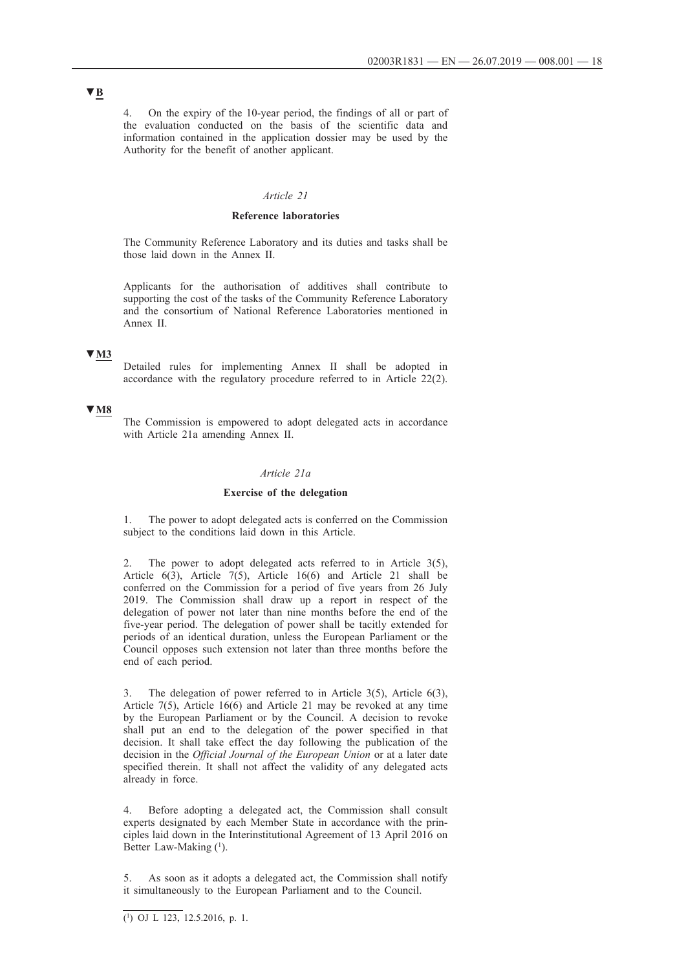4. On the expiry of the 10-year period, the findings of all or part of the evaluation conducted on the basis of the scientific data and information contained in the application dossier may be used by the Authority for the benefit of another applicant.

### *Article 21*

#### **Reference laboratories**

The Community Reference Laboratory and its duties and tasks shall be those laid down in the Annex II.

Applicants for the authorisation of additives shall contribute to supporting the cost of the tasks of the Community Reference Laboratory and the consortium of National Reference Laboratories mentioned in Annex II.

### **▼M3**

Detailed rules for implementing Annex II shall be adopted in accordance with the regulatory procedure referred to in Article 22(2).

### **▼M8**

The Commission is empowered to adopt delegated acts in accordance with Article 21a amending Annex II.

### *Article 21a*

#### **Exercise of the delegation**

The power to adopt delegated acts is conferred on the Commission subject to the conditions laid down in this Article.

2. The power to adopt delegated acts referred to in Article 3(5), Article  $6(3)$ , Article  $7(5)$ , Article 16(6) and Article 21 shall be conferred on the Commission for a period of five years from 26 July 2019. The Commission shall draw up a report in respect of the delegation of power not later than nine months before the end of the five-year period. The delegation of power shall be tacitly extended for periods of an identical duration, unless the European Parliament or the Council opposes such extension not later than three months before the end of each period.

3. The delegation of power referred to in Article 3(5), Article 6(3), Article 7(5), Article 16(6) and Article 21 may be revoked at any time by the European Parliament or by the Council. A decision to revoke shall put an end to the delegation of the power specified in that decision. It shall take effect the day following the publication of the decision in the *Official Journal of the European Union* or at a later date specified therein. It shall not affect the validity of any delegated acts already in force.

4. Before adopting a delegated act, the Commission shall consult experts designated by each Member State in accordance with the principles laid down in the Interinstitutional Agreement of 13 April 2016 on Better Law-Making (1).

As soon as it adopts a delegated act, the Commission shall notify it simultaneously to the European Parliament and to the Council.

 $\overline{(^1)}$  OJ L 123, 12.5.2016, p. 1.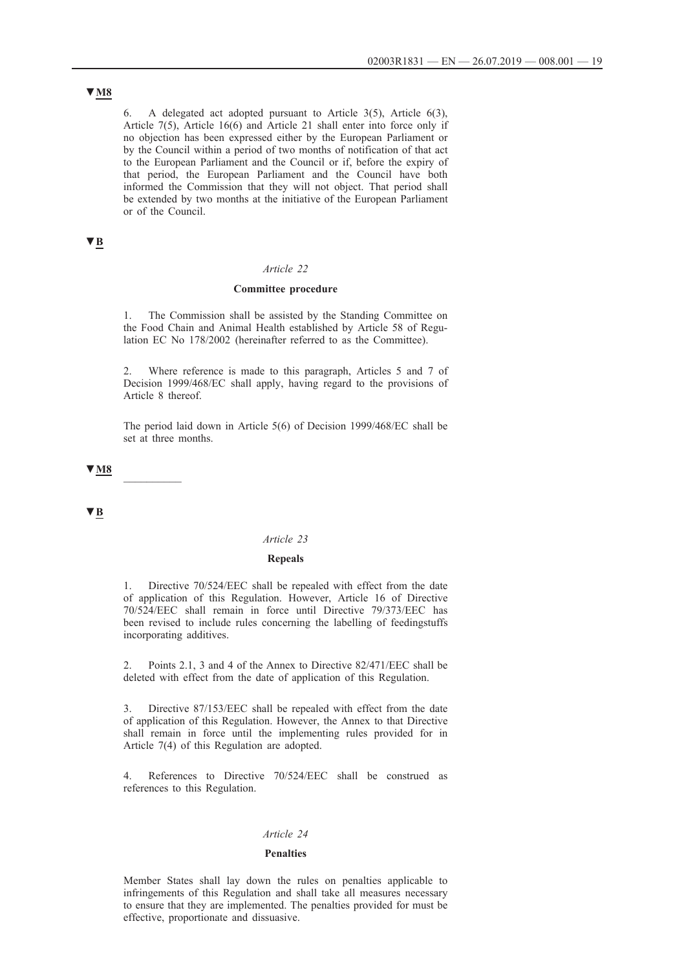6. A delegated act adopted pursuant to Article 3(5), Article 6(3), Article 7(5), Article 16(6) and Article 21 shall enter into force only if no objection has been expressed either by the European Parliament or by the Council within a period of two months of notification of that act to the European Parliament and the Council or if, before the expiry of that period, the European Parliament and the Council have both informed the Commission that they will not object. That period shall be extended by two months at the initiative of the European Parliament or of the Council.

## **▼B**

#### *Article 22*

### **Committee procedure**

The Commission shall be assisted by the Standing Committee on the Food Chain and Animal Health established by Article 58 of Regulation EC No 178/2002 (hereinafter referred to as the Committee).

2. Where reference is made to this paragraph, Articles 5 and 7 of Decision 1999/468/EC shall apply, having regard to the provisions of Article 8 thereof.

The period laid down in Article 5(6) of Decision 1999/468/EC shall be set at three months.

**▼M8** \_\_\_\_\_\_\_\_\_\_

**▼B**

## *Article 23*

#### **Repeals**

1. Directive 70/524/EEC shall be repealed with effect from the date of application of this Regulation. However, Article 16 of Directive 70/524/EEC shall remain in force until Directive 79/373/EEC has been revised to include rules concerning the labelling of feedingstuffs incorporating additives.

2. Points 2.1, 3 and 4 of the Annex to Directive 82/471/EEC shall be deleted with effect from the date of application of this Regulation.

3. Directive 87/153/EEC shall be repealed with effect from the date of application of this Regulation. However, the Annex to that Directive shall remain in force until the implementing rules provided for in Article 7(4) of this Regulation are adopted.

4. References to Directive 70/524/EEC shall be construed as references to this Regulation.

### *Article 24*

#### **Penalties**

Member States shall lay down the rules on penalties applicable to infringements of this Regulation and shall take all measures necessary to ensure that they are implemented. The penalties provided for must be effective, proportionate and dissuasive.

## **▼M8**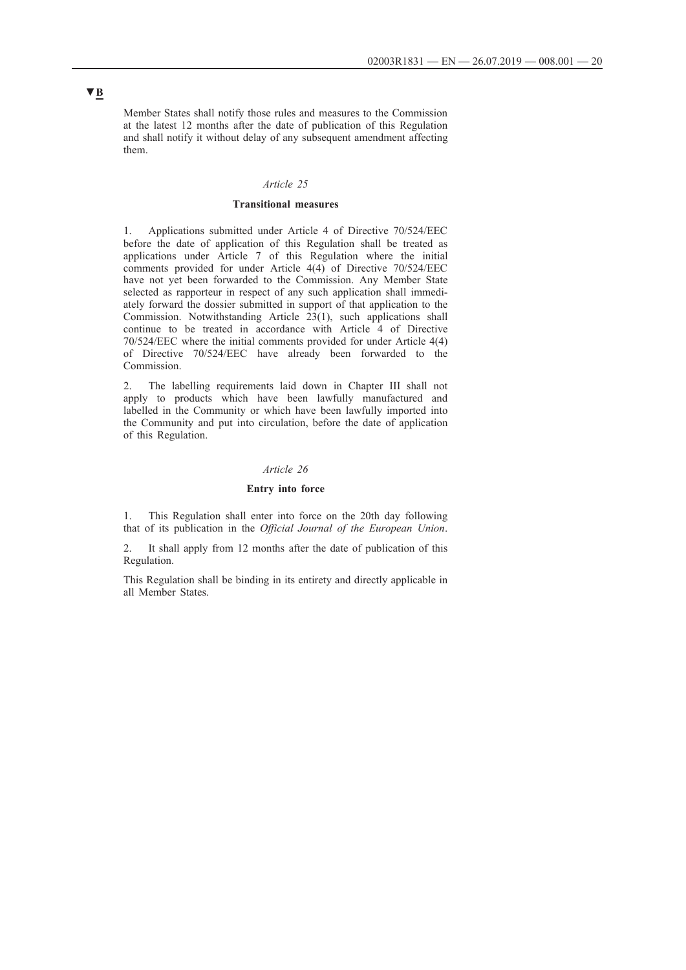Member States shall notify those rules and measures to the Commission at the latest 12 months after the date of publication of this Regulation and shall notify it without delay of any subsequent amendment affecting them.

### *Article 25*

#### **Transitional measures**

1. Applications submitted under Article 4 of Directive 70/524/EEC before the date of application of this Regulation shall be treated as applications under Article 7 of this Regulation where the initial comments provided for under Article 4(4) of Directive 70/524/EEC have not yet been forwarded to the Commission. Any Member State selected as rapporteur in respect of any such application shall immediately forward the dossier submitted in support of that application to the Commission. Notwithstanding Article  $23(1)$ , such applications shall continue to be treated in accordance with Article 4 of Directive 70/524/EEC where the initial comments provided for under Article 4(4) of Directive 70/524/EEC have already been forwarded to the Commission.

2. The labelling requirements laid down in Chapter III shall not apply to products which have been lawfully manufactured and labelled in the Community or which have been lawfully imported into the Community and put into circulation, before the date of application of this Regulation.

#### *Article 26*

### **Entry into force**

1. This Regulation shall enter into force on the 20th day following that of its publication in the *Official Journal of the European Union*.

2. It shall apply from 12 months after the date of publication of this Regulation.

This Regulation shall be binding in its entirety and directly applicable in all Member States.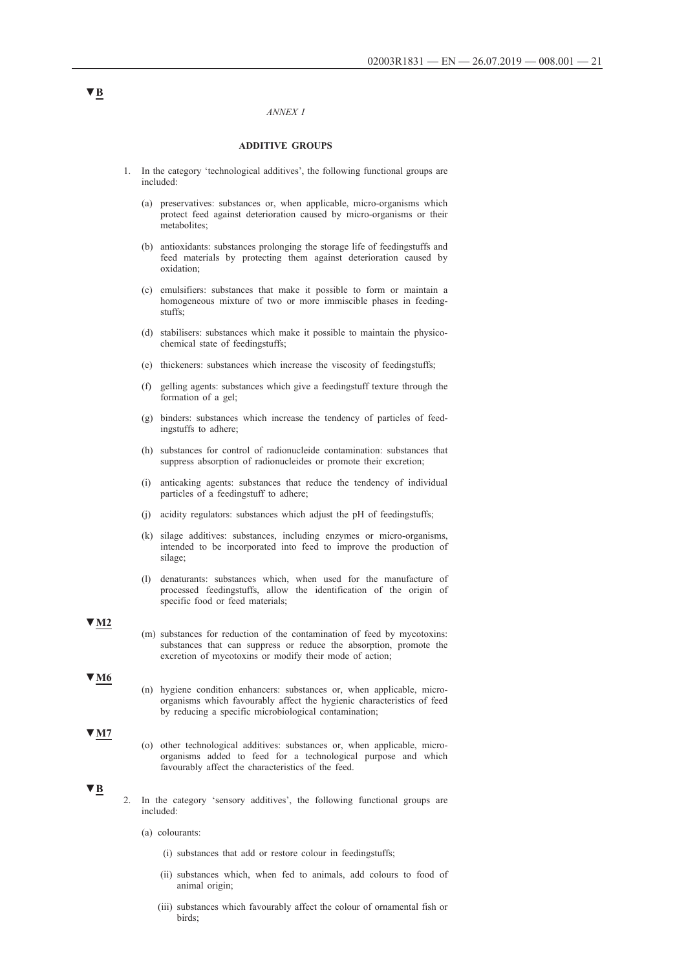#### *ANNEX I*

#### **ADDITIVE GROUPS**

- 1. In the category 'technological additives', the following functional groups are included:
	- (a) preservatives: substances or, when applicable, micro-organisms which protect feed against deterioration caused by micro-organisms or their metabolites;
	- (b) antioxidants: substances prolonging the storage life of feedingstuffs and feed materials by protecting them against deterioration caused by oxidation;
	- (c) emulsifiers: substances that make it possible to form or maintain a homogeneous mixture of two or more immiscible phases in feedingstuffs;
	- (d) stabilisers: substances which make it possible to maintain the physicochemical state of feedingstuffs;
	- (e) thickeners: substances which increase the viscosity of feedingstuffs;
	- (f) gelling agents: substances which give a feedingstuff texture through the formation of a gel;
	- (g) binders: substances which increase the tendency of particles of feedingstuffs to adhere;
	- (h) substances for control of radionucleide contamination: substances that suppress absorption of radionucleides or promote their excretion;
	- (i) anticaking agents: substances that reduce the tendency of individual particles of a feedingstuff to adhere;
	- (j) acidity regulators: substances which adjust the pH of feedingstuffs;
	- (k) silage additives: substances, including enzymes or micro-organisms, intended to be incorporated into feed to improve the production of silage;
	- (l) denaturants: substances which, when used for the manufacture of processed feedingstuffs, allow the identification of the origin of specific food or feed materials;

**▼M2**

(m) substances for reduction of the contamination of feed by mycotoxins: substances that can suppress or reduce the absorption, promote the excretion of mycotoxins or modify their mode of action;

### **▼M6**

(n) hygiene condition enhancers: substances or, when applicable, microorganisms which favourably affect the hygienic characteristics of feed by reducing a specific microbiological contamination;

#### **▼M7**

(o) other technological additives: substances or, when applicable, microorganisms added to feed for a technological purpose and which favourably affect the characteristics of the feed.

### **▼B**

- 2. In the category 'sensory additives', the following functional groups are included:
	- (a) colourants:
		- (i) substances that add or restore colour in feedingstuffs;
		- (ii) substances which, when fed to animals, add colours to food of animal origin;
		- (iii) substances which favourably affect the colour of ornamental fish or birds;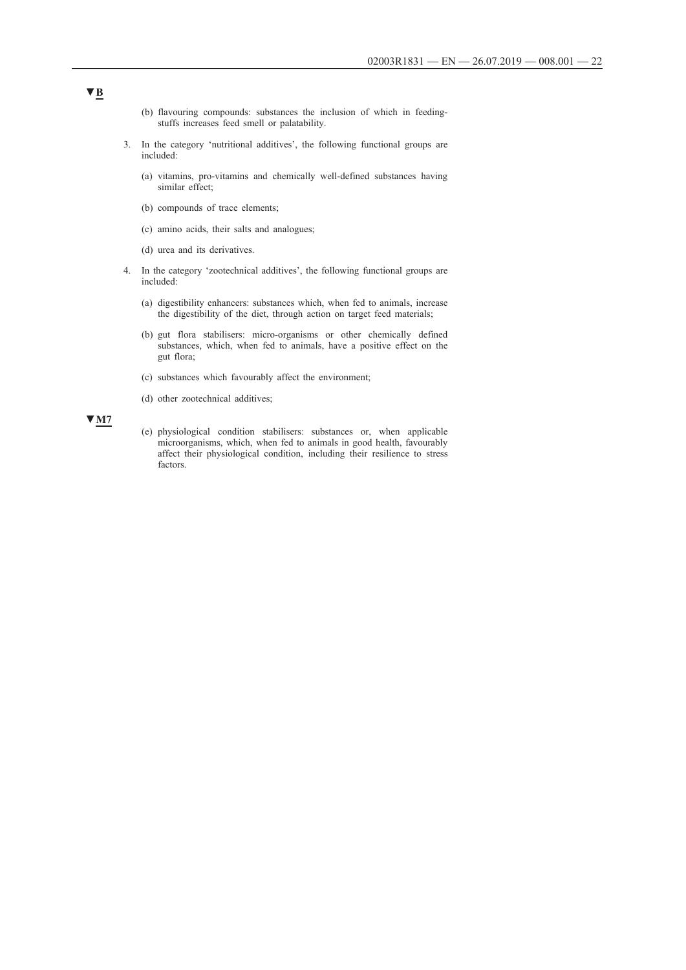- (b) flavouring compounds: substances the inclusion of which in feedingstuffs increases feed smell or palatability.
- 3. In the category 'nutritional additives', the following functional groups are included:
	- (a) vitamins, pro-vitamins and chemically well-defined substances having similar effect;
	- (b) compounds of trace elements;
	- (c) amino acids, their salts and analogues;
	- (d) urea and its derivatives.
- 4. In the category 'zootechnical additives', the following functional groups are included:
	- (a) digestibility enhancers: substances which, when fed to animals, increase the digestibility of the diet, through action on target feed materials;
	- (b) gut flora stabilisers: micro-organisms or other chemically defined substances, which, when fed to animals, have a positive effect on the gut flora;
	- (c) substances which favourably affect the environment;
	- (d) other zootechnical additives;

### **▼M7**

(e) physiological condition stabilisers: substances or, when applicable microorganisms, which, when fed to animals in good health, favourably affect their physiological condition, including their resilience to stress factors.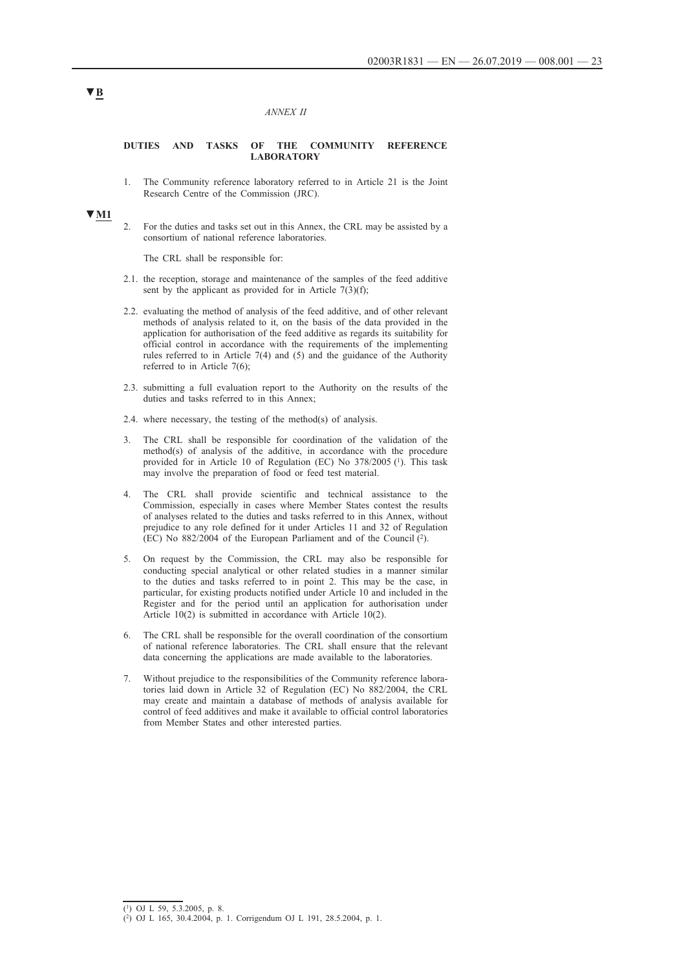#### *ANNEX II*

#### **DUTIES AND TASKS OF THE COMMUNITY REFERENCE LABORATORY**

1. The Community reference laboratory referred to in Article 21 is the Joint Research Centre of the Commission (JRC).

# **▼M1**

2. For the duties and tasks set out in this Annex, the CRL may be assisted by a consortium of national reference laboratories.

The CRL shall be responsible for:

- 2.1. the reception, storage and maintenance of the samples of the feed additive sent by the applicant as provided for in Article  $7(3)(f)$ ;
- 2.2. evaluating the method of analysis of the feed additive, and of other relevant methods of analysis related to it, on the basis of the data provided in the application for authorisation of the feed additive as regards its suitability for official control in accordance with the requirements of the implementing rules referred to in Article 7(4) and (5) and the guidance of the Authority referred to in Article 7(6);
- 2.3. submitting a full evaluation report to the Authority on the results of the duties and tasks referred to in this Annex;
- 2.4. where necessary, the testing of the method(s) of analysis.
- 3. The CRL shall be responsible for coordination of the validation of the method(s) of analysis of the additive, in accordance with the procedure provided for in Article 10 of Regulation (EC) No 378/2005 (1). This task may involve the preparation of food or feed test material.
- 4. The CRL shall provide scientific and technical assistance to the Commission, especially in cases where Member States contest the results of analyses related to the duties and tasks referred to in this Annex, without prejudice to any role defined for it under Articles 11 and 32 of Regulation (EC) No 882/2004 of the European Parliament and of the Council (2).
- 5. On request by the Commission, the CRL may also be responsible for conducting special analytical or other related studies in a manner similar to the duties and tasks referred to in point 2. This may be the case, in particular, for existing products notified under Article 10 and included in the Register and for the period until an application for authorisation under Article 10(2) is submitted in accordance with Article 10(2).
- 6. The CRL shall be responsible for the overall coordination of the consortium of national reference laboratories. The CRL shall ensure that the relevant data concerning the applications are made available to the laboratories.
- 7. Without prejudice to the responsibilities of the Community reference laboratories laid down in Article 32 of Regulation (EC) No 882/2004, the CRL may create and maintain a database of methods of analysis available for control of feed additives and make it available to official control laboratories from Member States and other interested parties.

#### (1) OJ L 59, 5.3.2005, p. 8.

<sup>(2)</sup> OJ L 165, 30.4.2004, p. 1. Corrigendum OJ L 191, 28.5.2004, p. 1.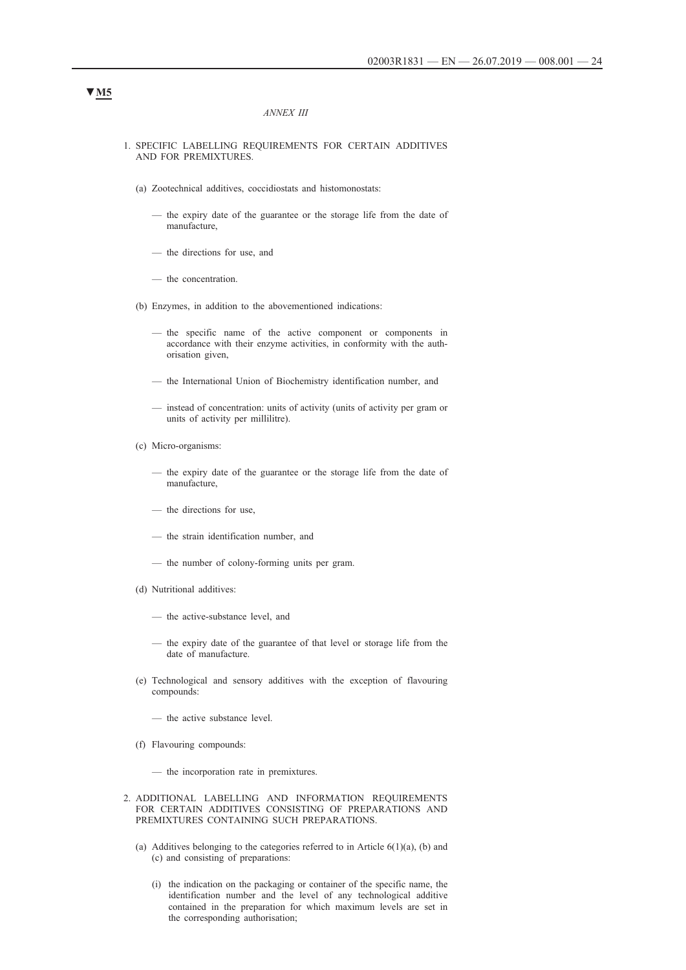#### *ANNEX III*

#### 1. SPECIFIC LABELLING REQUIREMENTS FOR CERTAIN ADDITIVES AND FOR PREMIXTURES.

- (a) Zootechnical additives, coccidiostats and histomonostats:
	- the expiry date of the guarantee or the storage life from the date of manufacture,
	- the directions for use, and
	- the concentration.
- (b) Enzymes, in addition to the abovementioned indications:
	- the specific name of the active component or components in accordance with their enzyme activities, in conformity with the authorisation given,
	- the International Union of Biochemistry identification number, and
	- instead of concentration: units of activity (units of activity per gram or units of activity per millilitre).
- (c) Micro-organisms:
	- the expiry date of the guarantee or the storage life from the date of manufacture,
	- the directions for use,
	- the strain identification number, and
	- the number of colony-forming units per gram.
- (d) Nutritional additives:
	- the active-substance level, and
	- the expiry date of the guarantee of that level or storage life from the date of manufacture.
- (e) Technological and sensory additives with the exception of flavouring compounds:
	- the active substance level.
- (f) Flavouring compounds:

— the incorporation rate in premixtures.

- 2. ADDITIONAL LABELLING AND INFORMATION REQUIREMENTS FOR CERTAIN ADDITIVES CONSISTING OF PREPARATIONS AND PREMIXTURES CONTAINING SUCH PREPARATIONS.
	- (a) Additives belonging to the categories referred to in Article  $6(1)(a)$ , (b) and (c) and consisting of preparations:
		- (i) the indication on the packaging or container of the specific name, the identification number and the level of any technological additive contained in the preparation for which maximum levels are set in the corresponding authorisation;

# **▼M5**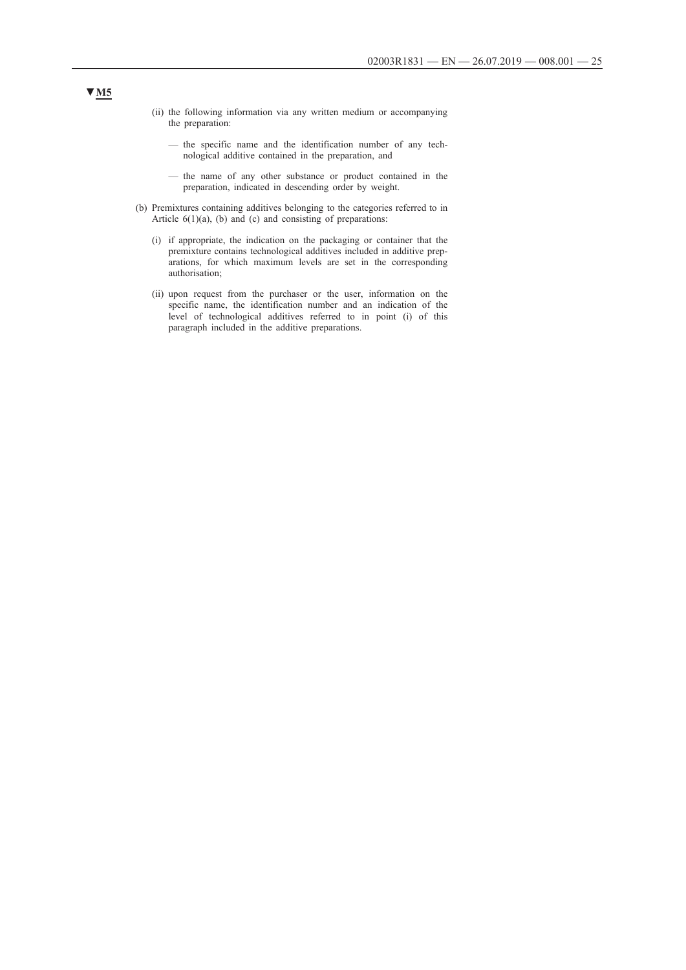- (ii) the following information via any written medium or accompanying the preparation:
	- the specific name and the identification number of any technological additive contained in the preparation, and
	- the name of any other substance or product contained in the preparation, indicated in descending order by weight.
- (b) Premixtures containing additives belonging to the categories referred to in Article  $6(1)(a)$ , (b) and (c) and consisting of preparations:
	- (i) if appropriate, the indication on the packaging or container that the premixture contains technological additives included in additive preparations, for which maximum levels are set in the corresponding authorisation;
	- (ii) upon request from the purchaser or the user, information on the specific name, the identification number and an indication of the level of technological additives referred to in point (i) of this paragraph included in the additive preparations.

## **▼M5**